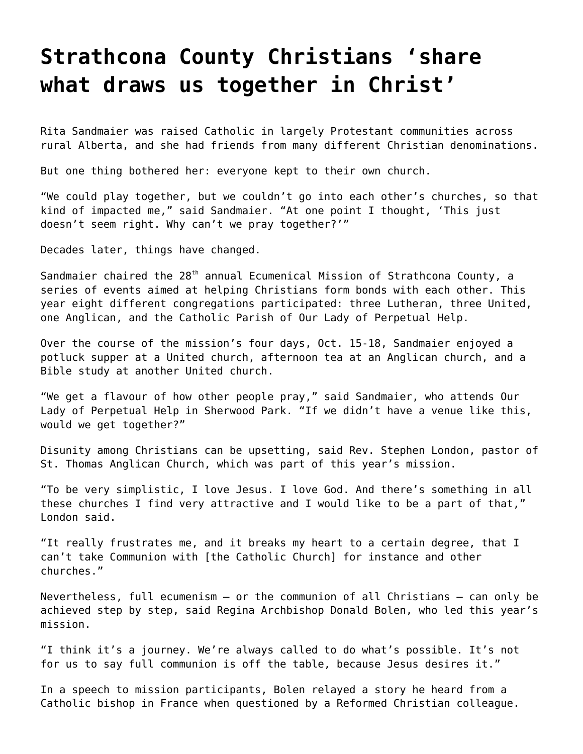## **[Strathcona County Christians 'share](https://grandinmedia.ca/strathcona-county-christians-share-what-draws-us-together-in-christ/) [what draws us together in Christ'](https://grandinmedia.ca/strathcona-county-christians-share-what-draws-us-together-in-christ/)**

Rita Sandmaier was raised Catholic in largely Protestant communities across rural Alberta, and she had friends from many different Christian denominations.

But one thing bothered her: everyone kept to their own church.

"We could play together, but we couldn't go into each other's churches, so that kind of impacted me," said Sandmaier. "At one point I thought, 'This just doesn't seem right. Why can't we pray together?'"

Decades later, things have changed.

Sandmaier chaired the  $28<sup>th</sup>$  annual Ecumenical Mission of Strathcona County, a series of events aimed at helping Christians form bonds with each other. This year eight different congregations participated: three Lutheran, three United, one Anglican, and the Catholic Parish of Our Lady of Perpetual Help.

Over the course of the mission's four days, Oct. 15-18, Sandmaier enjoyed a potluck supper at a United church, afternoon tea at an Anglican church, and a Bible study at another United church.

"We get a flavour of how other people pray," said Sandmaier, who attends Our Lady of Perpetual Help in Sherwood Park. "If we didn't have a venue like this, would we get together?"

Disunity among Christians can be upsetting, said Rev. Stephen London, pastor of St. Thomas Anglican Church, which was part of this year's mission.

"To be very simplistic, I love Jesus. I love God. And there's something in all these churches I find very attractive and I would like to be a part of that," London said.

"It really frustrates me, and it breaks my heart to a certain degree, that I can't take Communion with [the Catholic Church] for instance and other churches."

Nevertheless, full ecumenism – or the communion of all Christians – can only be achieved step by step, said Regina Archbishop Donald Bolen, who led this year's mission.

"I think it's a journey. We're always called to do what's possible. It's not for us to say full communion is off the table, because Jesus desires it."

In a speech to mission participants, Bolen relayed a story he heard from a Catholic bishop in France when questioned by a Reformed Christian colleague.